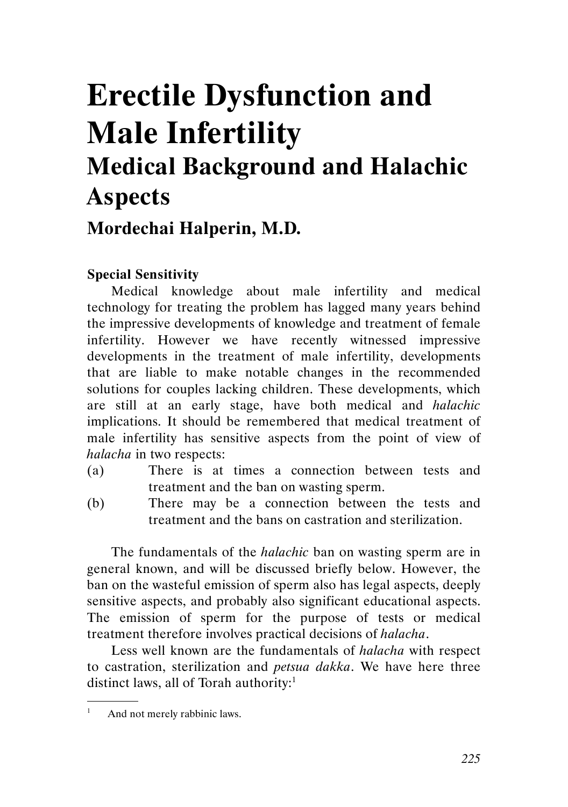# Erectile Dysfunction and Male Infertility Medical Background and Halachic Aspects

# Mordechai Halperin, M.D.

## Special Sensitivity

Medical knowledge about male infertility and medical technology for treating the problem has lagged many years behind the impressive developments of knowledge and treatment of female infertility. However we have recently witnessed impressive developments in the treatment of male infertility, developments that are liable to make notable changes in the recommended solutions for couples lacking children. These developments, which are still at an early stage, have both medical and halachic implications. It should be remembered that medical treatment of male infertility has sensitive aspects from the point of view of halacha in two respects:

- (a) There is at times a connection between tests and treatment and the ban on wasting sperm.
- (b) There may be a connection between the tests and treatment and the bans on castration and sterilization.

The fundamentals of the *halachic* ban on wasting sperm are in general known, and will be discussed briefly below. However, the ban on the wasteful emission of sperm also has legal aspects, deeply sensitive aspects, and probably also significant educational aspects. The emission of sperm for the purpose of tests or medical treatment therefore involves practical decisions of halacha.

Less well known are the fundamentals of halacha with respect to castration, sterilization and petsua dakka. We have here three distinct laws, all of Torah authority:<sup>1</sup> .

And not merely rabbinic laws.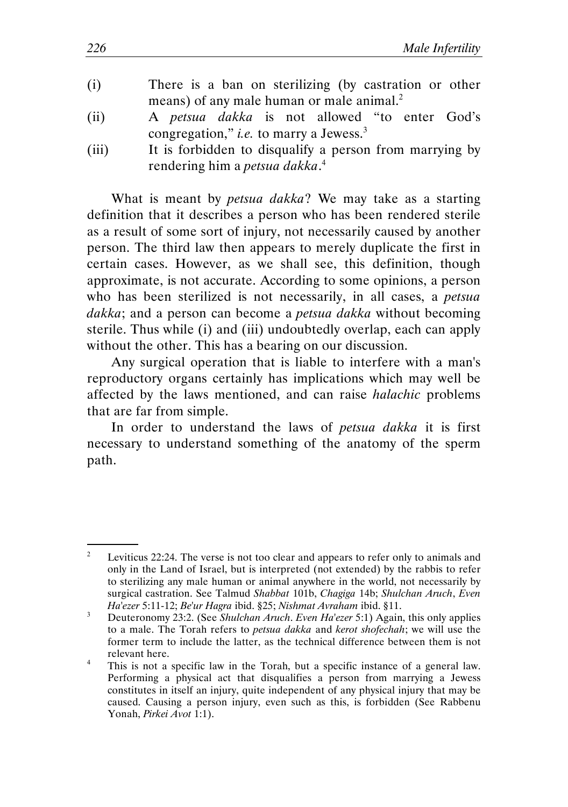- (i) There is a ban on sterilizing (by castration or other means) of any male human or male animal.<sup>2</sup>
- (ii) A petsua dakka is not allowed "to enter God's congregation," *i.e.* to marry a Jewess. $3$
- (iii) It is forbidden to disqualify a person from marrying by rendering him a *petsua dakka*.<sup>4</sup>

What is meant by *petsua dakka*? We may take as a starting definition that it describes a person who has been rendered sterile as a result of some sort of injury, not necessarily caused by another person. The third law then appears to merely duplicate the first in certain cases. However, as we shall see, this definition, though approximate, is not accurate. According to some opinions, a person who has been sterilized is not necessarily, in all cases, a *petsua* dakka; and a person can become a *petsua dakka* without becoming sterile. Thus while (i) and (iii) undoubtedly overlap, each can apply without the other. This has a bearing on our discussion.

Any surgical operation that is liable to interfere with a man's reproductory organs certainly has implications which may well be affected by the laws mentioned, and can raise halachic problems that are far from simple.

In order to understand the laws of *petsua dakka* it is first necessary to understand something of the anatomy of the sperm path.

<sup>&</sup>lt;sup>2</sup> Leviticus 22:24. The verse is not too clear and appears to refer only to animals and only in the Land of Israel, but is interpreted (not extended) by the rabbis to refer to sterilizing any male human or animal anywhere in the world, not necessarily by surgical castration. See Talmud Shabbat 101b, Chagiga 14b; Shulchan Aruch, Even Ha'ezer 5:11-12; Be'ur Hagra ibid. §25; Nishmat Avraham ibid. §11.

<sup>&</sup>lt;sup>3</sup> Deuteronomy 23:2. (See Shulchan Aruch. Even Ha'ezer 5:1) Again, this only applies to a male. The Torah refers to petsua dakka and kerot shofechah; we will use the former term to include the latter, as the technical difference between them is not relevant here.

<sup>&</sup>lt;sup>4</sup> This is not a specific law in the Torah, but a specific instance of a general law. Performing a physical act that disqualifies a person from marrying a Jewess constitutes in itself an injury, quite independent of any physical injury that may be caused. Causing a person injury, even such as this, is forbidden (See Rabbenu Yonah, Pirkei Avot 1:1).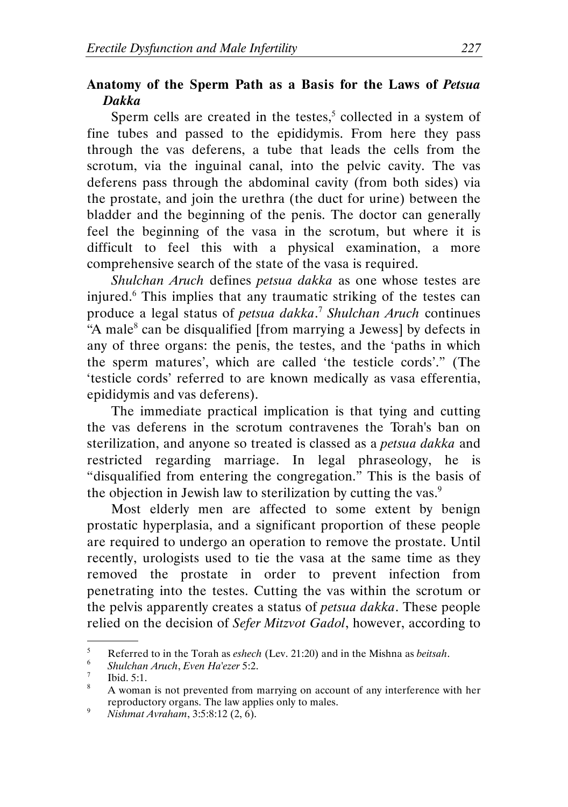### Anatomy of the Sperm Path as a Basis for the Laws of Petsua Dakka

Sperm cells are created in the testes, $5$  collected in a system of fine tubes and passed to the epididymis. From here they pass through the vas deferens, a tube that leads the cells from the scrotum, via the inguinal canal, into the pelvic cavity. The vas deferens pass through the abdominal cavity (from both sides) via the prostate, and join the urethra (the duct for urine) between the bladder and the beginning of the penis. The doctor can generally feel the beginning of the vasa in the scrotum, but where it is difficult to feel this with a physical examination, a more comprehensive search of the state of the vasa is required.

Shulchan Aruch defines petsua dakka as one whose testes are injured.<sup>6</sup> This implies that any traumatic striking of the testes can produce a legal status of *petsua dakka*.<sup>7</sup> Shulchan Aruch continues "A male<sup>8</sup> can be disqualified [from marrying a Jewess] by defects in any of three organs: the penis, the testes, and the 'paths in which the sperm matures', which are called 'the testicle cords'." (The 'testicle cords' referred to are known medically as vasa efferentia, epididymis and vas deferens).

The immediate practical implication is that tying and cutting the vas deferens in the scrotum contravenes the Torah's ban on sterilization, and anyone so treated is classed as a *petsua dakka* and restricted regarding marriage. In legal phraseology, he is "disqualified from entering the congregation." This is the basis of the objection in Jewish law to sterilization by cutting the vas.<sup>9</sup>

Most elderly men are affected to some extent by benign prostatic hyperplasia, and a significant proportion of these people are required to undergo an operation to remove the prostate. Until recently, urologists used to tie the vasa at the same time as they removed the prostate in order to prevent infection from penetrating into the testes. Cutting the vas within the scrotum or the pelvis apparently creates a status of petsua dakka. These people relied on the decision of Sefer Mitzvot Gadol, however, according to .

<sup>&</sup>lt;sup>5</sup> Referred to in the Torah as eshech (Lev. 21:20) and in the Mishna as *beitsah*.

 $\frac{6}{7}$  Shulchan Aruch, Even Ha'ezer 5:2.

 $\frac{7}{8}$  Ibid. 5:1.

A woman is not prevented from marrying on account of any interference with her reproductory organs. The law applies only to males.

<sup>&</sup>lt;sup>9</sup> Nishmat Avraham, 3:5:8:12 (2, 6).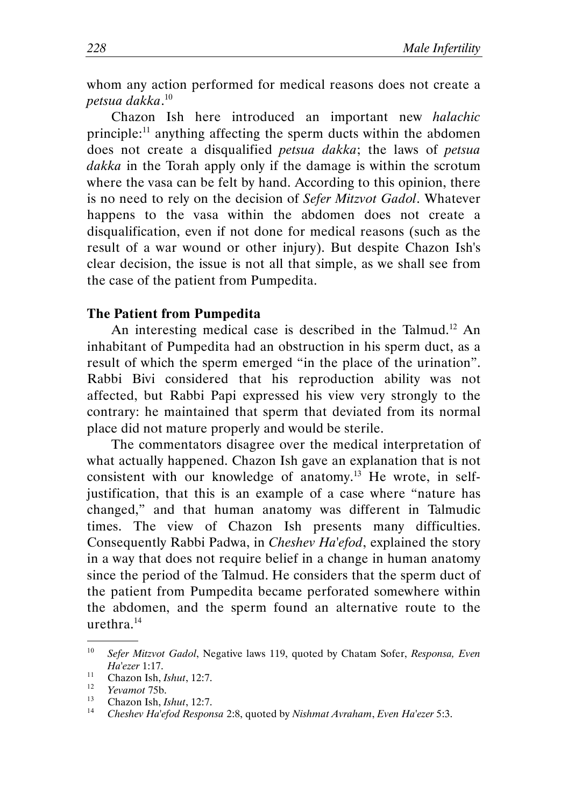whom any action performed for medical reasons does not create a petsua dakka. 10

Chazon Ish here introduced an important new halachic principle:<sup>11</sup> anything affecting the sperm ducts within the abdomen does not create a disqualified petsua dakka; the laws of petsua dakka in the Torah apply only if the damage is within the scrotum where the vasa can be felt by hand. According to this opinion, there is no need to rely on the decision of Sefer Mitzvot Gadol. Whatever happens to the vasa within the abdomen does not create a disqualification, even if not done for medical reasons (such as the result of a war wound or other injury). But despite Chazon Ish's clear decision, the issue is not all that simple, as we shall see from the case of the patient from Pumpedita.

#### The Patient from Pumpedita

An interesting medical case is described in the Talmud.<sup>12</sup> An inhabitant of Pumpedita had an obstruction in his sperm duct, as a result of which the sperm emerged "in the place of the urination". Rabbi Bivi considered that his reproduction ability was not affected, but Rabbi Papi expressed his view very strongly to the contrary: he maintained that sperm that deviated from its normal place did not mature properly and would be sterile.

The commentators disagree over the medical interpretation of what actually happened. Chazon Ish gave an explanation that is not consistent with our knowledge of anatomy.<sup>13</sup> He wrote, in selfjustification, that this is an example of a case where "nature has changed," and that human anatomy was different in Talmudic times. The view of Chazon Ish presents many difficulties. Consequently Rabbi Padwa, in Cheshev Ha'efod, explained the story in a way that does not require belief in a change in human anatomy since the period of the Talmud. He considers that the sperm duct of the patient from Pumpedita became perforated somewhere within the abdomen, and the sperm found an alternative route to the urethra.<sup>14</sup> .

<sup>&</sup>lt;sup>10</sup> Sefer Mitzvot Gadol, Negative laws 119, quoted by Chatam Sofer, Responsa, Even Ha'ezer 1:17.

<sup>&</sup>lt;sup>11</sup> Chazon Ish, *Ishut*, 12:7.

 $12$  Yevamot 75b.

 $^{13}$  Chazon Ish, *Ishut*, 12:7.

Cheshev Ha'efod Responsa 2:8, quoted by Nishmat Avraham, Even Ha'ezer 5:3.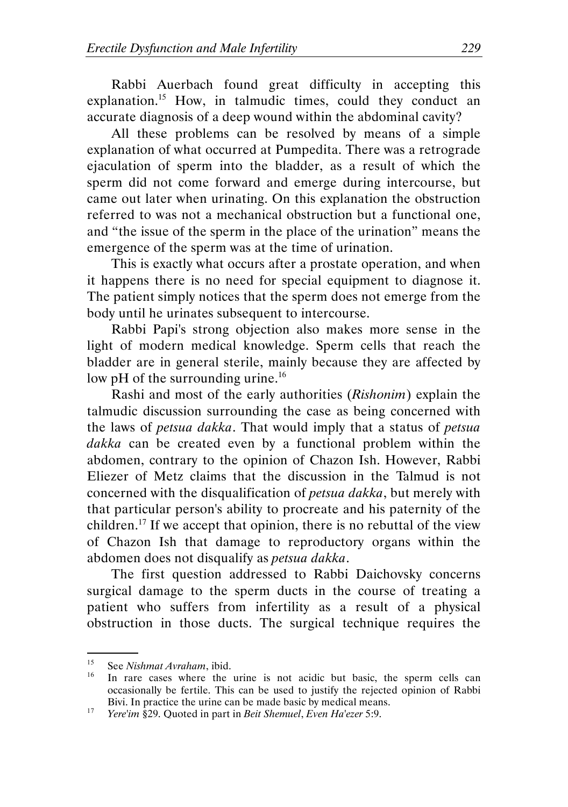Rabbi Auerbach found great difficulty in accepting this explanation.<sup>15</sup> How, in talmudic times, could they conduct an accurate diagnosis of a deep wound within the abdominal cavity?

All these problems can be resolved by means of a simple explanation of what occurred at Pumpedita. There was a retrograde ejaculation of sperm into the bladder, as a result of which the sperm did not come forward and emerge during intercourse, but came out later when urinating. On this explanation the obstruction referred to was not a mechanical obstruction but a functional one, and "the issue of the sperm in the place of the urination" means the emergence of the sperm was at the time of urination.

This is exactly what occurs after a prostate operation, and when it happens there is no need for special equipment to diagnose it. The patient simply notices that the sperm does not emerge from the body until he urinates subsequent to intercourse.

Rabbi Papi's strong objection also makes more sense in the light of modern medical knowledge. Sperm cells that reach the bladder are in general sterile, mainly because they are affected by low pH of the surrounding urine.<sup>16</sup>

Rashi and most of the early authorities (Rishonim) explain the talmudic discussion surrounding the case as being concerned with the laws of petsua dakka. That would imply that a status of petsua dakka can be created even by a functional problem within the abdomen, contrary to the opinion of Chazon Ish. However, Rabbi Eliezer of Metz claims that the discussion in the Talmud is not concerned with the disqualification of petsua dakka, but merely with that particular person's ability to procreate and his paternity of the children.<sup>17</sup> If we accept that opinion, there is no rebuttal of the view of Chazon Ish that damage to reproductory organs within the abdomen does not disqualify as petsua dakka.

The first question addressed to Rabbi Daichovsky concerns surgical damage to the sperm ducts in the course of treating a patient who suffers from infertility as a result of a physical obstruction in those ducts. The surgical technique requires the

<sup>&</sup>lt;sup>15</sup> See Nishmat Avraham, ibid.

In rare cases where the urine is not acidic but basic, the sperm cells can occasionally be fertile. This can be used to justify the rejected opinion of Rabbi Bivi. In practice the urine can be made basic by medical means.

<sup>&</sup>lt;sup>17</sup> *Yere'im* §29. Quoted in part in *Beit Shemuel, Even Ha'ezer* 5:9.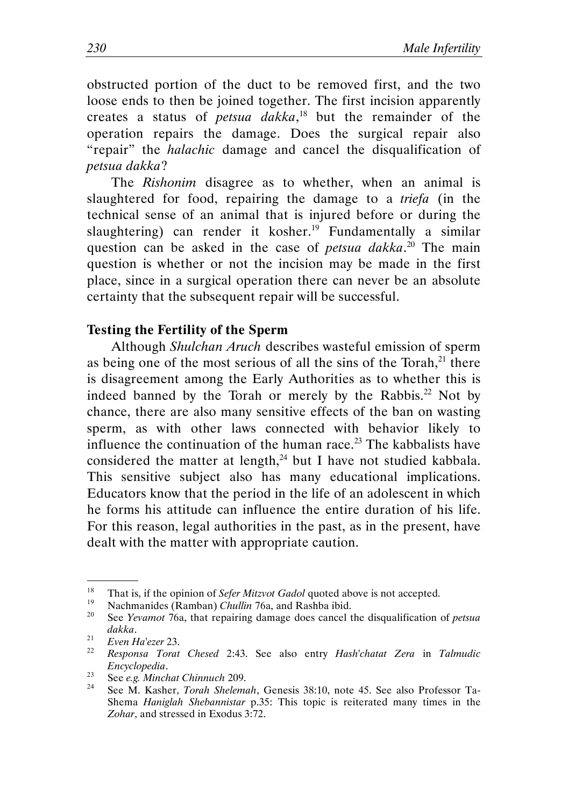obstructed portion of the duct to be removed first, and the two loose ends to then be joined together. The first incision apparently creates a status of *petsua dakka*,<sup>18</sup> but the remainder of the operation repairs the damage. Does the surgical repair also "repair" the *halachic* damage and cancel the disqualification of petsua dakka?

The Rishonim disagree as to whether, when an animal is slaughtered for food, repairing the damage to a *triefa* (in the technical sense of an animal that is injured before or during the slaughtering) can render it kosher.<sup>19</sup> Fundamentally a similar question can be asked in the case of *petsua dakka*.<sup>20</sup> The main question is whether or not the incision may be made in the first place, since in a surgical operation there can never be an absolute certainty that the subsequent repair will be successful.

#### Testing the Fertility of the Sperm

Although Shulchan Aruch describes wasteful emission of sperm as being one of the most serious of all the sins of the Torah, $^{21}$  there is disagreement among the Early Authorities as to whether this is indeed banned by the Torah or merely by the Rabbis.<sup>22</sup> Not by chance, there are also many sensitive effects of the ban on wasting sperm, as with other laws connected with behavior likely to influence the continuation of the human race.<sup>23</sup> The kabbalists have considered the matter at length, $^{24}$  but I have not studied kabbala. This sensitive subject also has many educational implications. Educators know that the period in the life of an adolescent in which he forms his attitude can influence the entire duration of his life. For this reason, legal authorities in the past, as in the present, have dealt with the matter with appropriate caution.

<sup>&</sup>lt;sup>18</sup> That is, if the opinion of *Sefer Mitzvot Gadol* quoted above is not accepted.

<sup>&</sup>lt;sup>19</sup> Nachmanides (Ramban) Chullin 76a, and Rashba ibid.

See Yevamot 76a, that repairing damage does cancel the disqualification of *petsua* dakka.

<sup>21</sup> Even Ha'ezer 23.

 $22$  Responsa Torat Chesed 2:43. See also entry Hash'chatat Zera in Talmudic Encyclopedia.

<sup>&</sup>lt;sup>23</sup> See e.g. Minchat Chinnuch 209.

See M. Kasher, Torah Shelemah, Genesis 38:10, note 45. See also Professor Ta-Shema Haniglah Shebannistar p.35: This topic is reiterated many times in the Zohar, and stressed in Exodus 3:72.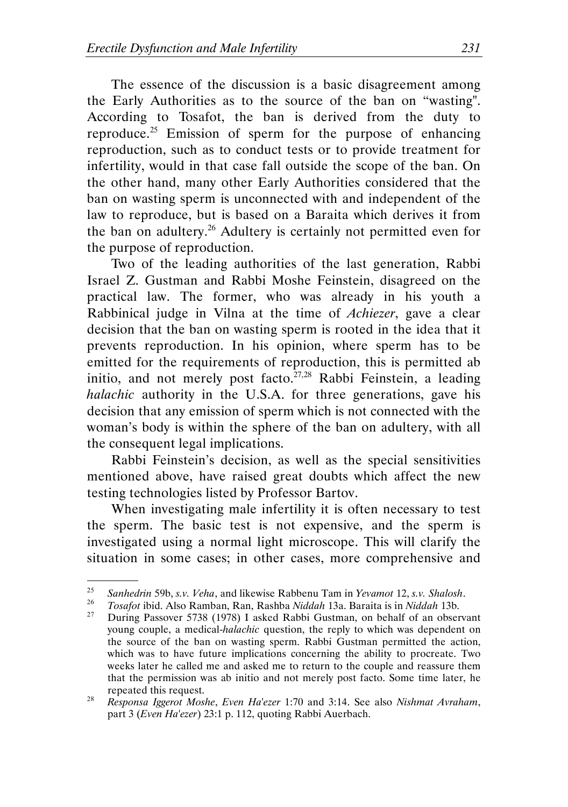The essence of the discussion is a basic disagreement among the Early Authorities as to the source of the ban on "wasting". According to Tosafot, the ban is derived from the duty to reproduce.<sup>25</sup> Emission of sperm for the purpose of enhancing reproduction, such as to conduct tests or to provide treatment for infertility, would in that case fall outside the scope of the ban. On the other hand, many other Early Authorities considered that the ban on wasting sperm is unconnected with and independent of the law to reproduce, but is based on a Baraita which derives it from the ban on adultery.<sup>26</sup> Adultery is certainly not permitted even for the purpose of reproduction.

Two of the leading authorities of the last generation, Rabbi Israel Z. Gustman and Rabbi Moshe Feinstein, disagreed on the practical law. The former, who was already in his youth a Rabbinical judge in Vilna at the time of Achiezer, gave a clear decision that the ban on wasting sperm is rooted in the idea that it prevents reproduction. In his opinion, where sperm has to be emitted for the requirements of reproduction, this is permitted ab initio, and not merely post facto.<sup>27,28</sup> Rabbi Feinstein, a leading halachic authority in the U.S.A. for three generations, gave his decision that any emission of sperm which is not connected with the woman's body is within the sphere of the ban on adultery, with all the consequent legal implications.

Rabbi Feinstein's decision, as well as the special sensitivities mentioned above, have raised great doubts which affect the new testing technologies listed by Professor Bartov.

When investigating male infertility it is often necessary to test the sperm. The basic test is not expensive, and the sperm is investigated using a normal light microscope. This will clarify the situation in some cases; in other cases, more comprehensive and

<sup>&</sup>lt;sup>25</sup> Sanhedrin 59b, s.v. Veha, and likewise Rabbenu Tam in Yevamot 12, s.v. Shalosh.<br><sup>26</sup> Tesefet ibid. Also Bemben, Ban, Beshbe Niddah 13e, Bereits is in Niddah 13b.

<sup>&</sup>lt;sup>26</sup> Tosafot ibid. Also Ramban, Ran, Rashba Niddah 13a. Baraita is in Niddah 13b.<br><sup>27</sup> During Bassayar 5,728 (1078) Lasked Babbi Gustman, an babalf of an absor

<sup>27</sup> During Passover 5738 (1978) I asked Rabbi Gustman, on behalf of an observant young couple, a medical-halachic question, the reply to which was dependent on the source of the ban on wasting sperm. Rabbi Gustman permitted the action, which was to have future implications concerning the ability to procreate. Two weeks later he called me and asked me to return to the couple and reassure them that the permission was ab initio and not merely post facto. Some time later, he repeated this request.

<sup>28</sup> Responsa Iggerot Moshe, Even Ha'ezer 1:70 and 3:14. See also Nishmat Avraham, part 3 (Even Ha'ezer) 23:1 p. 112, quoting Rabbi Auerbach.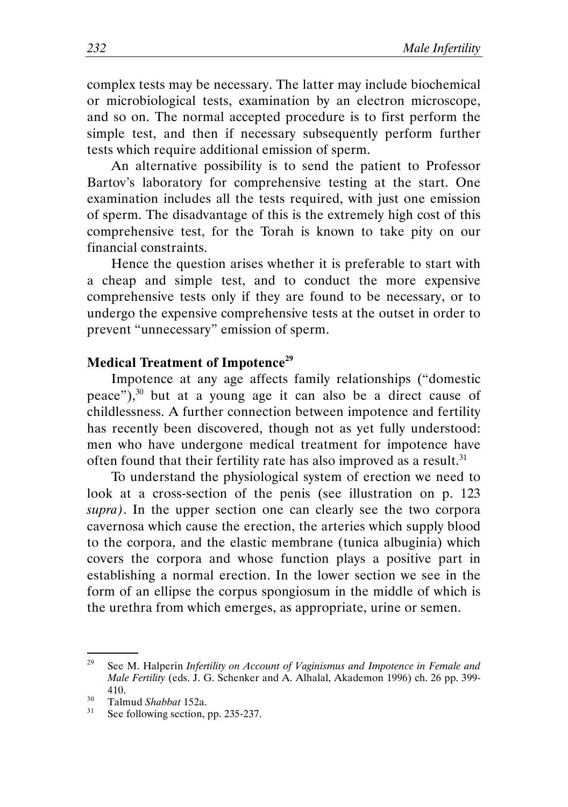complex tests may be necessary. The latter may include biochemical or microbiological tests, examination by an electron microscope, and so on. The normal accepted procedure is to first perform the simple test, and then if necessary subsequently perform further tests which require additional emission of sperm.

An alternative possibility is to send the patient to Professor Bartov's laboratory for comprehensive testing at the start. One examination includes all the tests required, with just one emission of sperm. The disadvantage of this is the extremely high cost of this comprehensive test, for the Torah is known to take pity on our financial constraints.

Hence the question arises whether it is preferable to start with a cheap and simple test, and to conduct the more expensive comprehensive tests only if they are found to be necessary, or to undergo the expensive comprehensive tests at the outset in order to prevent "unnecessary" emission of sperm.

#### Medical Treatment of Impotence<sup>29</sup>

Impotence at any age affects family relationships ("domestic peace"), $30$  but at a young age it can also be a direct cause of childlessness. A further connection between impotence and fertility has recently been discovered, though not as yet fully understood: men who have undergone medical treatment for impotence have often found that their fertility rate has also improved as a result.<sup>31</sup>

To understand the physiological system of erection we need to look at a cross-section of the penis (see illustration on p. 123 supra). In the upper section one can clearly see the two corpora cavernosa which cause the erection, the arteries which supply blood to the corpora, and the elastic membrane (tunica albuginia) which covers the corpora and whose function plays a positive part in establishing a normal erection. In the lower section we see in the form of an ellipse the corpus spongiosum in the middle of which is the urethra from which emerges, as appropriate, urine or semen.

<sup>&</sup>lt;sup>29</sup> See M. Halperin *Infertility on Account of Vaginismus and Impotence in Female and* Male Fertility (eds. J. G. Schenker and A. Alhalal, Akademon 1996) ch. 26 pp. 399- 410.

 $^{30}$  Talmud *Shabbat* 152a.

See following section, pp. 235-237.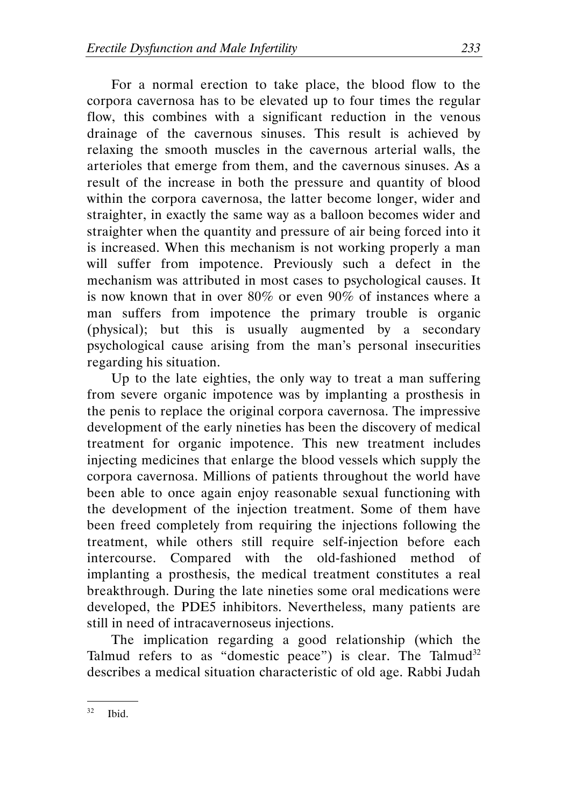For a normal erection to take place, the blood flow to the corpora cavernosa has to be elevated up to four times the regular flow, this combines with a significant reduction in the venous drainage of the cavernous sinuses. This result is achieved by relaxing the smooth muscles in the cavernous arterial walls, the arterioles that emerge from them, and the cavernous sinuses. As a result of the increase in both the pressure and quantity of blood within the corpora cavernosa, the latter become longer, wider and straighter, in exactly the same way as a balloon becomes wider and straighter when the quantity and pressure of air being forced into it is increased. When this mechanism is not working properly a man will suffer from impotence. Previously such a defect in the mechanism was attributed in most cases to psychological causes. It is now known that in over 80% or even 90% of instances where a man suffers from impotence the primary trouble is organic (physical); but this is usually augmented by a secondary psychological cause arising from the man's personal insecurities regarding his situation.

Up to the late eighties, the only way to treat a man suffering from severe organic impotence was by implanting a prosthesis in the penis to replace the original corpora cavernosa. The impressive development of the early nineties has been the discovery of medical treatment for organic impotence. This new treatment includes injecting medicines that enlarge the blood vessels which supply the corpora cavernosa. Millions of patients throughout the world have been able to once again enjoy reasonable sexual functioning with the development of the injection treatment. Some of them have been freed completely from requiring the injections following the treatment, while others still require self-injection before each intercourse. Compared with the old-fashioned method of implanting a prosthesis, the medical treatment constitutes a real breakthrough. During the late nineties some oral medications were developed, the PDE5 inhibitors. Nevertheless, many patients are still in need of intracavernoseus injections.

The implication regarding a good relationship (which the Talmud refers to as "domestic peace") is clear. The Talmud<sup>32</sup> describes a medical situation characteristic of old age. Rabbi Judah

 <sup>.</sup>  $32$  Ibid.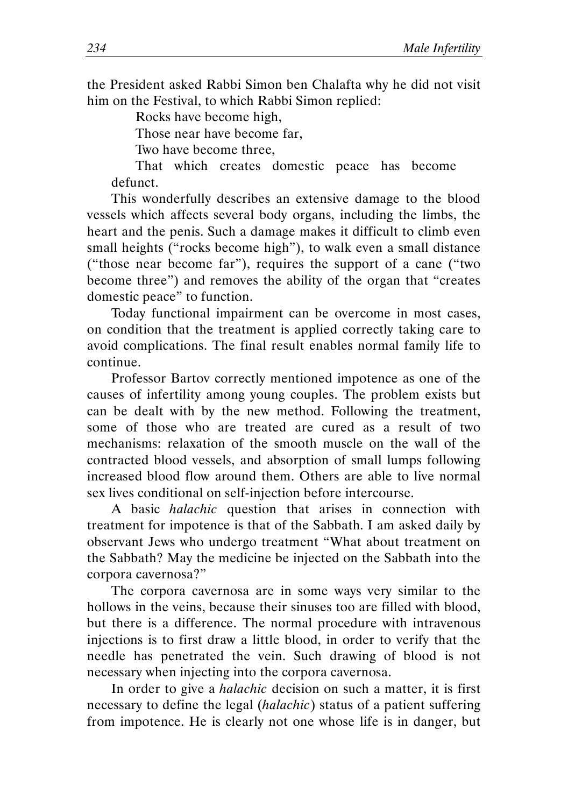the President asked Rabbi Simon ben Chalafta why he did not visit him on the Festival, to which Rabbi Simon replied:

Rocks have become high,

Those near have become far,

Two have become three,

That which creates domestic peace has become defunct.

This wonderfully describes an extensive damage to the blood vessels which affects several body organs, including the limbs, the heart and the penis. Such a damage makes it difficult to climb even small heights ("rocks become high"), to walk even a small distance ("those near become far"), requires the support of a cane ("two become three") and removes the ability of the organ that "creates domestic peace" to function.

Today functional impairment can be overcome in most cases, on condition that the treatment is applied correctly taking care to avoid complications. The final result enables normal family life to continue.

Professor Bartov correctly mentioned impotence as one of the causes of infertility among young couples. The problem exists but can be dealt with by the new method. Following the treatment, some of those who are treated are cured as a result of two mechanisms: relaxation of the smooth muscle on the wall of the contracted blood vessels, and absorption of small lumps following increased blood flow around them. Others are able to live normal sex lives conditional on self-injection before intercourse.

A basic halachic question that arises in connection with treatment for impotence is that of the Sabbath. I am asked daily by observant Jews who undergo treatment "What about treatment on the Sabbath? May the medicine be injected on the Sabbath into the corpora cavernosa?"

The corpora cavernosa are in some ways very similar to the hollows in the veins, because their sinuses too are filled with blood, but there is a difference. The normal procedure with intravenous injections is to first draw a little blood, in order to verify that the needle has penetrated the vein. Such drawing of blood is not necessary when injecting into the corpora cavernosa.

In order to give a halachic decision on such a matter, it is first necessary to define the legal (halachic) status of a patient suffering from impotence. He is clearly not one whose life is in danger, but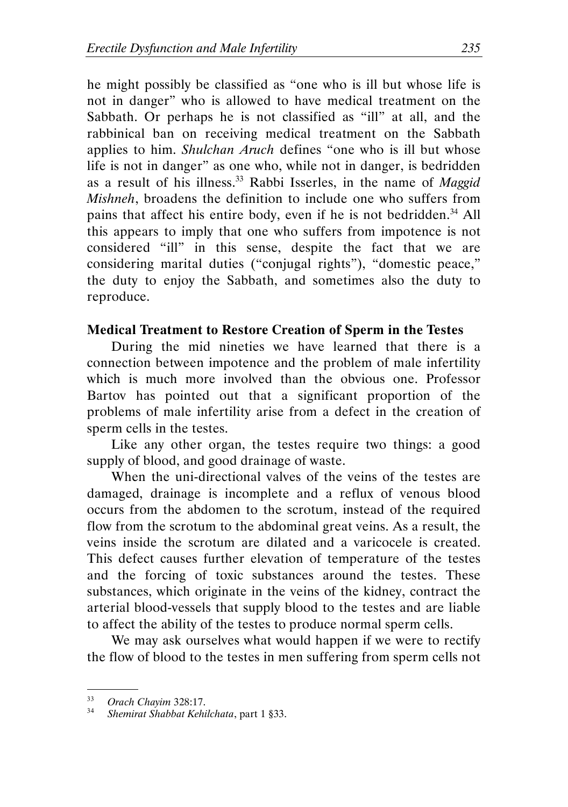he might possibly be classified as "one who is ill but whose life is not in danger" who is allowed to have medical treatment on the Sabbath. Or perhaps he is not classified as "ill" at all, and the rabbinical ban on receiving medical treatment on the Sabbath applies to him. Shulchan Aruch defines "one who is ill but whose life is not in danger" as one who, while not in danger, is bedridden as a result of his illness.<sup>33</sup> Rabbi Isserles, in the name of *Maggid* Mishneh, broadens the definition to include one who suffers from pains that affect his entire body, even if he is not bedridden.<sup>34</sup> All this appears to imply that one who suffers from impotence is not considered "ill" in this sense, despite the fact that we are considering marital duties ("conjugal rights"), "domestic peace," the duty to enjoy the Sabbath, and sometimes also the duty to reproduce.

#### Medical Treatment to Restore Creation of Sperm in the Testes

During the mid nineties we have learned that there is a connection between impotence and the problem of male infertility which is much more involved than the obvious one. Professor Bartov has pointed out that a significant proportion of the problems of male infertility arise from a defect in the creation of sperm cells in the testes.

Like any other organ, the testes require two things: a good supply of blood, and good drainage of waste.

When the uni-directional valves of the veins of the testes are damaged, drainage is incomplete and a reflux of venous blood occurs from the abdomen to the scrotum, instead of the required flow from the scrotum to the abdominal great veins. As a result, the veins inside the scrotum are dilated and a varicocele is created. This defect causes further elevation of temperature of the testes and the forcing of toxic substances around the testes. These substances, which originate in the veins of the kidney, contract the arterial blood-vessels that supply blood to the testes and are liable to affect the ability of the testes to produce normal sperm cells.

We may ask ourselves what would happen if we were to rectify the flow of blood to the testes in men suffering from sperm cells not

 $33 \text{ *Orach Chayim* 328:17.}$ 

Shemirat Shabbat Kehilchata, part 1 §33.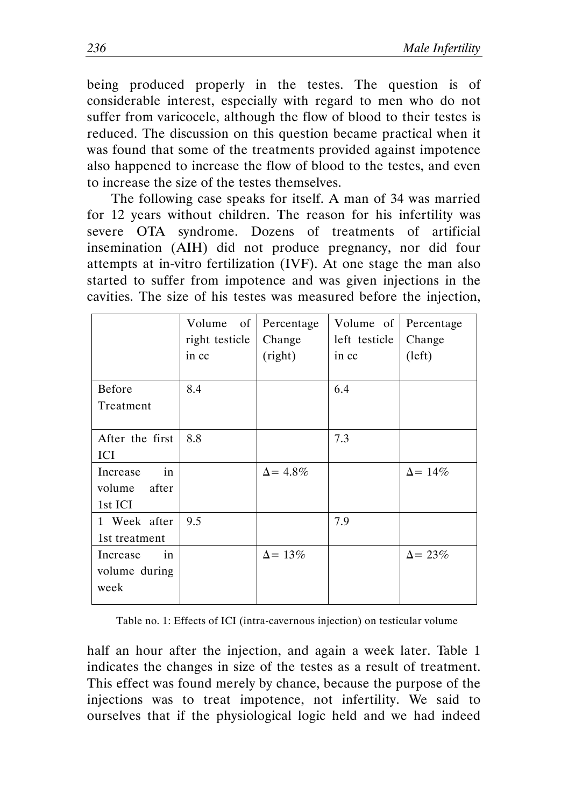being produced properly in the testes. The question is of considerable interest, especially with regard to men who do not suffer from varicocele, although the flow of blood to their testes is reduced. The discussion on this question became practical when it was found that some of the treatments provided against impotence also happened to increase the flow of blood to the testes, and even to increase the size of the testes themselves.

The following case speaks for itself. A man of 34 was married for 12 years without children. The reason for his infertility was severe OTA syndrome. Dozens of treatments of artificial insemination (AIH) did not produce pregnancy, nor did four attempts at in-vitro fertilization (IVF). At one stage the man also started to suffer from impotence and was given injections in the cavities. The size of his testes was measured before the injection,

|                                              | of<br>Volume<br>right testicle<br>in cc | Percentage<br>Change<br>(right) | Volume of<br>left testicle<br>in cc | Percentage<br>Change<br>(left) |
|----------------------------------------------|-----------------------------------------|---------------------------------|-------------------------------------|--------------------------------|
| Before<br>Treatment                          | 8.4                                     |                                 | 6.4                                 |                                |
| After the first<br>ICI                       | 8.8                                     |                                 | 7.3                                 |                                |
| in<br>Increase<br>after<br>volume<br>1st ICI |                                         | $\Delta$ = 4.8%                 |                                     | $\Delta$ = 14\%                |
| 1 Week after<br>1st treatment                | 9.5                                     |                                 | 7.9                                 |                                |
| in<br>Increase<br>volume during<br>week      |                                         | $\Delta$ = 13%                  |                                     | $\Delta$ = 23%                 |

Table no. 1: Effects of ICI (intra-cavernous injection) on testicular volume

half an hour after the injection, and again a week later. Table 1 indicates the changes in size of the testes as a result of treatment. This effect was found merely by chance, because the purpose of the injections was to treat impotence, not infertility. We said to ourselves that if the physiological logic held and we had indeed